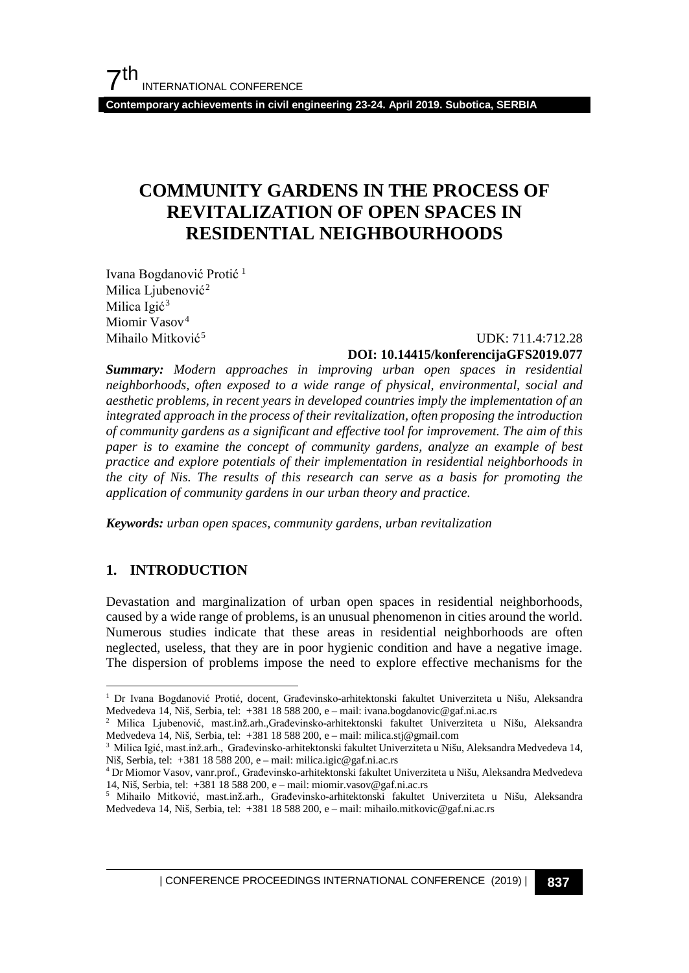**Contemporary achievements in civil engineering 23-24. April 2019. Subotica, SERBIA**

### **COMMUNITY GARDENS IN THE PROCESS OF REVITALIZATION OF OPEN SPACES IN RESIDENTIAL NEIGHBOURHOODS**

Ivana Bogdanović Protić [1](#page-0-0) Milica Ljubenović<sup>[2](#page-0-1)</sup> Milica Igić<sup>[3](#page-0-2)</sup> Miomir Vasov<sup>[4](#page-0-3)</sup> Mihailo Mitković<sup>[5](#page-0-4)</sup>

## $UDK: 711.4:712.28$

### **DOI: 10.14415/konferencijaGFS2019.077**

*Summary: Modern approaches in improving urban open spaces in residential neighborhoods, often exposed to a wide range of physical, environmental, social and aesthetic problems, in recent years in developed countries imply the implementation of an integrated approach in the process of their revitalization, often proposing the introduction of community gardens as a significant and effective tool for improvement. The aim of this paper is to examine the concept of community gardens, analyze an example of best practice and explore potentials of their implementation in residential neighborhoods in the city of Nis. The results of this research can serve as a basis for promoting the application of community gardens in our urban theory and practice.*

*Keywords: urban open spaces, community gardens, urban revitalization*

### **1. INTRODUCTION**

Devastation and marginalization of urban open spaces in residential neighborhoods, caused by a wide range of problems, is an unusual phenomenon in cities around the world. Numerous studies indicate that these areas in residential neighborhoods are often neglected, useless, that they are in poor hygienic condition and have a negative image. The dispersion of problems impose the need to explore effective mechanisms for the

<span id="page-0-0"></span> <sup>1</sup> Dr Ivana Bogdanović Protić, docent, Građevinsko-arhitektonski fakultet Univerziteta u Nišu, Aleksandra Medvedeva 14, Niš, Serbia, tel: +381 18 588 200, e – mail: ivana.bogdanovic@gaf.ni.ac.rs

<span id="page-0-1"></span><sup>2</sup> Milica Ljubenović, mast.inž.arh.,Građevinsko-arhitektonski fakultet Univerziteta u Nišu, Aleksandra Medvedeva 14, Niš, Serbia, tel: +381 18 588 200, e – mail: milica.stj@gmail.com

<span id="page-0-2"></span><sup>3</sup> Milica Igić, mast.inž.arh., Građevinsko-arhitektonski fakultet Univerziteta u Nišu, Aleksandra Medvedeva 14, Niš, Serbia, tel: +381 18 588 200, e – mail: milica.igic@gaf.ni.ac.rs

<sup>4</sup> Dr Miomor Vasov, vanr.prof., Građevinsko-arhitektonski fakultet Univerziteta u Nišu, Aleksandra Medvedeva 14, Niš, Serbia, tel: +381 18 588 200, e – mail: miomir.vasov@gaf.ni.ac.rs

<span id="page-0-4"></span><span id="page-0-3"></span><sup>5</sup> Mihailo Mitković, mast.inž.arh., Građevinsko-arhitektonski fakultet Univerziteta u Nišu, Aleksandra Medvedeva 14, Niš, Serbia, tel: +381 18 588 200, e – mail: mihailo.mitkovic@gaf.ni.ac.rs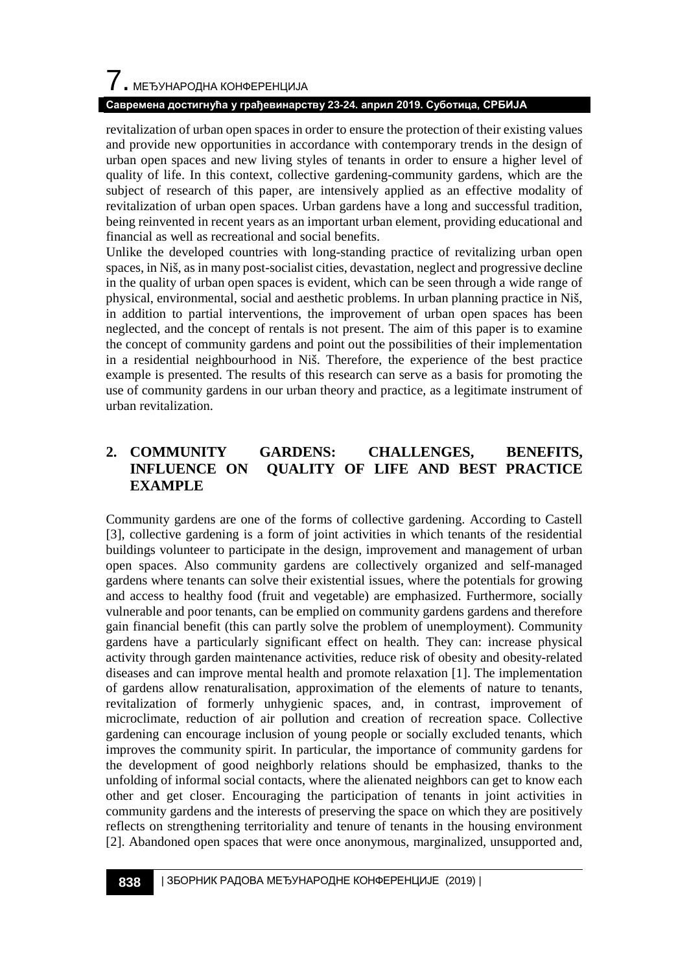# $\overline{\phantom{a}}$ . МЕЂУНАРОДНА КОНФЕРЕНЦИЈА

### **Савремена достигнућа у грађевинарству 23-24. април 2019. Суботица, СРБИЈА**

revitalization of urban open spaces in order to ensure the protection of their existing values and provide new opportunities in accordance with contemporary trends in the design of urban open spaces and new living styles of tenants in order to ensure a higher level of quality of life. In this context, collective gardening-community gardens, which are the subject of research of this paper, are intensively applied as an effective modality of revitalization of urban open spaces. Urban gardens have a long and successful tradition, being reinvented in recent years as an important urban element, providing educational and financial as well as recreational and social benefits.

Unlike the developed countries with long-standing practice of revitalizing urban open spaces, in Niš, as in many post-socialist cities, devastation, neglect and progressive decline in the quality of urban open spaces is evident, which can be seen through a wide range of physical, environmental, social and aesthetic problems. In urban planning practice in Niš, in addition to partial interventions, the improvement of urban open spaces has been neglected, and the concept of rentals is not present. The aim of this paper is to examine the concept of community gardens and point out the possibilities of their implementation in a residential neighbourhood in Niš. Therefore, the experience of the best practice example is presented. The results of this research can serve as a basis for promoting the use of community gardens in our urban theory and practice, as a legitimate instrument of urban revitalization.

### **2. COMMUNITY GARDENS: CHALLENGES, BENEFITS, INFLUENCE ON QUALITY OF LIFE AND BEST PRACTICE EXAMPLE**

Community gardens are one of the forms of collective gardening. According to Castell [3], collective gardening is a form of joint activities in which tenants of the residential buildings volunteer to participate in the design, improvement and management of urban open spaces. Also community gardens are collectively organized and self-managed gardens where tenants can solve their existential issues, where the potentials for growing and access to healthy food (fruit and vegetable) are emphasized. Furthermore, socially vulnerable and poor tenants, can be emplied on community gardens gardens and therefore gain financial benefit (this can partly solve the problem of unemployment). Community gardens have a particularly significant effect on health. They can: increase physical activity through garden maintenance activities, reduce risk of obesity and obesity-related diseases and can improve mental health and promote relaxation [1]. The implementation of gardens allow renaturalisation, approximation of the elements of nature to tenants, revitalization of formerly unhygienic spaces, and, in contrast, improvement of microclimate, reduction of air pollution and creation of recreation space. Collective gardening can encourage inclusion of young people or socially excluded tenants, which improves the community spirit. In particular, the importance of community gardens for the development of good neighborly relations should be emphasized, thanks to the unfolding of informal social contacts, where the alienated neighbors can get to know each other and get closer. Encouraging the participation of tenants in joint activities in community gardens and the interests of preserving the space on which they are positively reflects on strengthening territoriality and tenure of tenants in the housing environment [2]. Abandoned open spaces that were once anonymous, marginalized, unsupported and,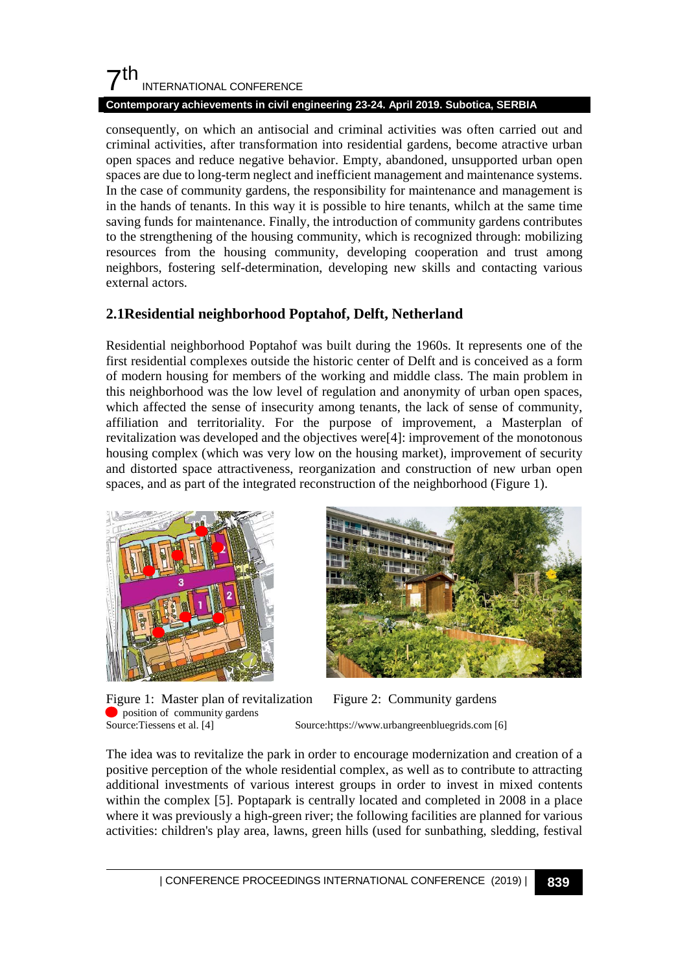### $7<sup>th</sup>$ INTERNATIONAL CONFERENCE

### **Contemporary achievements in civil engineering 23-24. April 2019. Subotica, SERBIA**

consequently, on which an antisocial and criminal activities was often carried out and criminal activities, after transformation into residential gardens, become atractive urban open spaces and reduce negative behavior. Empty, abandoned, unsupported urban open spaces are due to long-term neglect and inefficient management and maintenance systems. In the case of community gardens, the responsibility for maintenance and management is in the hands of tenants. In this way it is possible to hire tenants, whilch at the same time saving funds for maintenance. Finally, the introduction of community gardens contributes to the strengthening of the housing community, which is recognized through: mobilizing resources from the housing community, developing cooperation and trust among neighbors, fostering self-determination, developing new skills and contacting various external actors.

### **2.1Residential neighborhood Poptahof, Delft, Netherland**

Residential neighborhood Poptahof was built during the 1960s. It represents one of the first residential complexes outside the historic center of Delft and is conceived as a form of modern housing for members of the working and middle class. The main problem in this neighborhood was the low level of regulation and anonymity of urban open spaces, which affected the sense of insecurity among tenants, the lack of sense of community, affiliation and territoriality. For the purpose of improvement, a Masterplan of revitalization was developed and the objectives were[4]: improvement of the monotonous housing complex (which was very low on the housing market), improvement of security and distorted space attractiveness, reorganization and construction of new urban open spaces, and as part of the integrated reconstruction of the neighborhood (Figure 1).



Figure 1: Master plan of revitalization Figure 2: Community gardens <br>
Source: Tiessens et al. [4] Source: https://www.urbangreenbluegrids.com [



Source:https://www.urbangreenbluegrids.com [6]

The idea was to revitalize the park in order to encourage modernization and creation of a positive perception of the whole residential complex, as well as to contribute to attracting additional investments of various interest groups in order to invest in mixed contents within the complex [5]. Poptapark is centrally located and completed in 2008 in a place where it was previously a high-green river; the following facilities are planned for various activities: children's play area, lawns, green hills (used for sunbathing, sledding, festival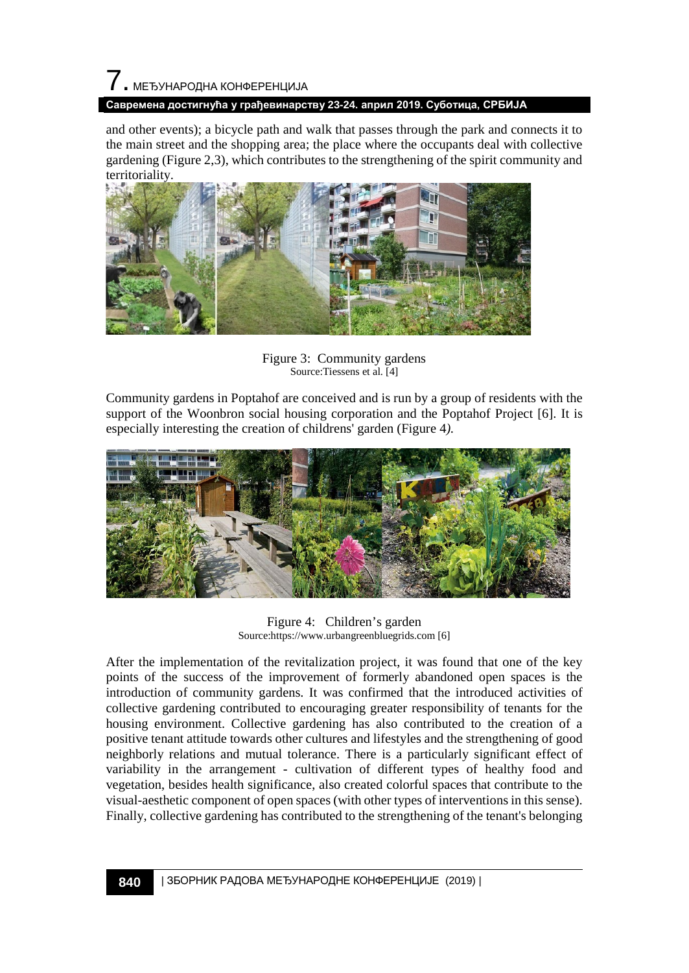# 7. МЕЂУНАРОДНА КОНФЕРЕНЦИЈА

### **Савремена достигнућа у грађевинарству 23-24. април 2019. Суботица, СРБИЈА**

and other events); a bicycle path and walk that passes through the park and connects it to the main street and the shopping area; the place where the occupants deal with collective gardening (Figure 2,3), which contributes to the strengthening of the spirit community and territoriality.



Figure 3: Community gardens Source:Tiessens et al. [4]

Community gardens in Poptahof are conceived and is run by a group of residents with the support of the Woonbron social housing corporation and the Poptahof Project [6]. It is especially interesting the creation of childrens' garden (Figure 4*).*



Figure 4: Children's garden Source:https://www.urbangreenbluegrids.com [6]

After the implementation of the revitalization project, it was found that one of the key points of the success of the improvement of formerly abandoned open spaces is the introduction of community gardens. It was confirmed that the introduced activities of collective gardening contributed to encouraging greater responsibility of tenants for the housing environment. Collective gardening has also contributed to the creation of a positive tenant attitude towards other cultures and lifestyles and the strengthening of good neighborly relations and mutual tolerance. There is a particularly significant effect of variability in the arrangement - cultivation of different types of healthy food and vegetation, besides health significance, also created colorful spaces that contribute to the visual-aesthetic component of open spaces (with other types of interventions in this sense). Finally, collective gardening has contributed to the strengthening of the tenant's belonging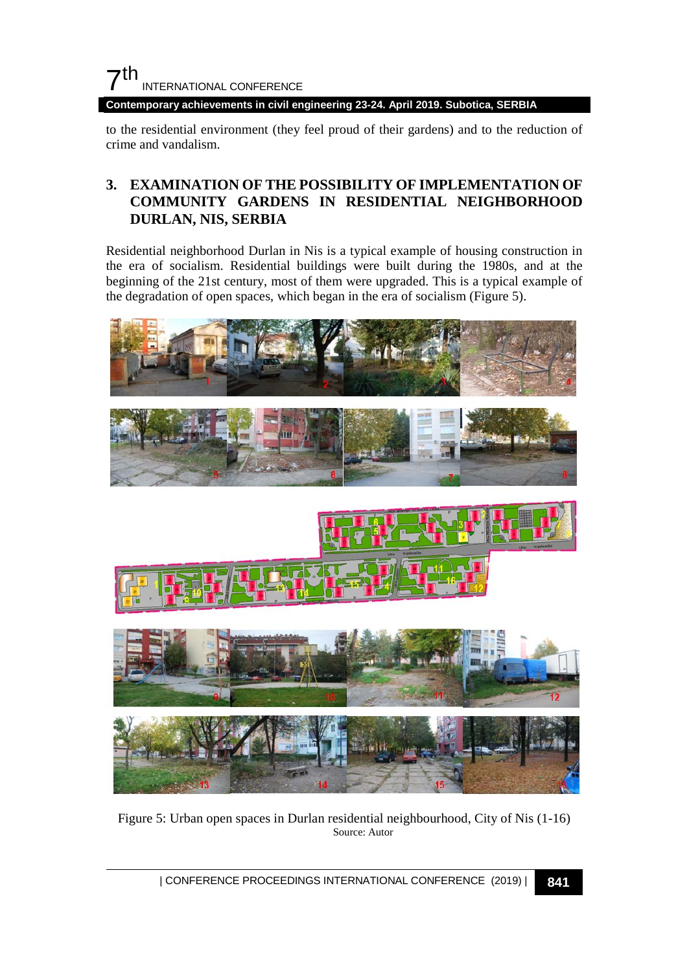

**Contemporary achievements in civil engineering 23-24. April 2019. Subotica, SERBIA**

to the residential environment (they feel proud of their gardens) and to the reduction of crime and vandalism.

### **3. EXAMINATION OF THE POSSIBILITY OF IMPLEMENTATION OF COMMUNITY GARDENS IN RESIDENTIAL NEIGHBORHOOD DURLAN, NIS, SERBIA**

Residential neighborhood Durlan in Nis is a typical example of housing construction in the era of socialism. Residential buildings were built during the 1980s, and at the beginning of the 21st century, most of them were upgraded. This is a typical example of the degradation of open spaces, which began in the era of socialism (Figure 5).



Figure 5: Urban open spaces in Durlan residential neighbourhood, City of Nis (1-16) Source: Autor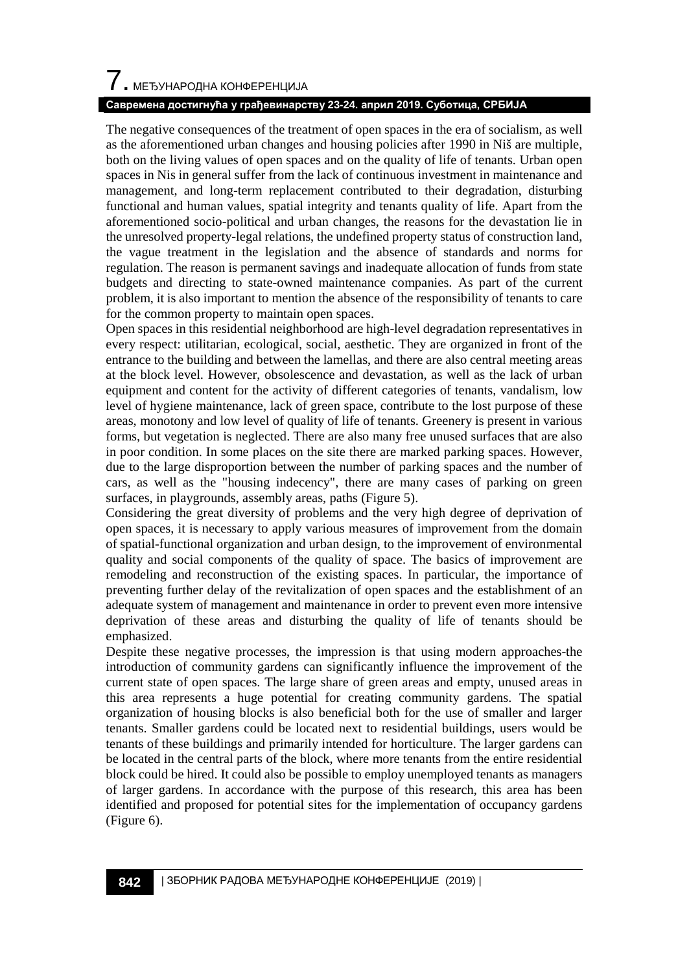# $\overline{\phantom{a}}$ . МЕЂУНАРОДНА КОНФЕРЕНЦИЈА

### **Савремена достигнућа у грађевинарству 23-24. април 2019. Суботица, СРБИЈА**

The negative consequences of the treatment of open spaces in the era of socialism, as well as the aforementioned urban changes and housing policies after 1990 in Niš are multiple, both on the living values of open spaces and on the quality of life of tenants. Urban open spaces in Nis in general suffer from the lack of continuous investment in maintenance and management, and long-term replacement contributed to their degradation, disturbing functional and human values, spatial integrity and tenants quality of life. Apart from the aforementioned socio-political and urban changes, the reasons for the devastation lie in the unresolved property-legal relations, the undefined property status of construction land, the vague treatment in the legislation and the absence of standards and norms for regulation. The reason is permanent savings and inadequate allocation of funds from state budgets and directing to state-owned maintenance companies. As part of the current problem, it is also important to mention the absence of the responsibility of tenants to care for the common property to maintain open spaces.

Open spaces in this residential neighborhood are high-level degradation representatives in every respect: utilitarian, ecological, social, aesthetic. They are organized in front of the entrance to the building and between the lamellas, and there are also central meeting areas at the block level. However, obsolescence and devastation, as well as the lack of urban equipment and content for the activity of different categories of tenants, vandalism, low level of hygiene maintenance, lack of green space, contribute to the lost purpose of these areas, monotony and low level of quality of life of tenants. Greenery is present in various forms, but vegetation is neglected. There are also many free unused surfaces that are also in poor condition. In some places on the site there are marked parking spaces. However, due to the large disproportion between the number of parking spaces and the number of cars, as well as the "housing indecency", there are many cases of parking on green surfaces, in playgrounds, assembly areas, paths (Figure 5).

Considering the great diversity of problems and the very high degree of deprivation of open spaces, it is necessary to apply various measures of improvement from the domain of spatial-functional organization and urban design, to the improvement of environmental quality and social components of the quality of space. The basics of improvement are remodeling and reconstruction of the existing spaces. In particular, the importance of preventing further delay of the revitalization of open spaces and the establishment of an adequate system of management and maintenance in order to prevent even more intensive deprivation of these areas and disturbing the quality of life of tenants should be emphasized.

Despite these negative processes, the impression is that using modern approaches-the introduction of community gardens can significantly influence the improvement of the current state of open spaces. The large share of green areas and empty, unused areas in this area represents a huge potential for creating community gardens. The spatial organization of housing blocks is also beneficial both for the use of smaller and larger tenants. Smaller gardens could be located next to residential buildings, users would be tenants of these buildings and primarily intended for horticulture. The larger gardens can be located in the central parts of the block, where more tenants from the entire residential block could be hired. It could also be possible to employ unemployed tenants as managers of larger gardens. In accordance with the purpose of this research, this area has been identified and proposed for potential sites for the implementation of occupancy gardens (Figure 6).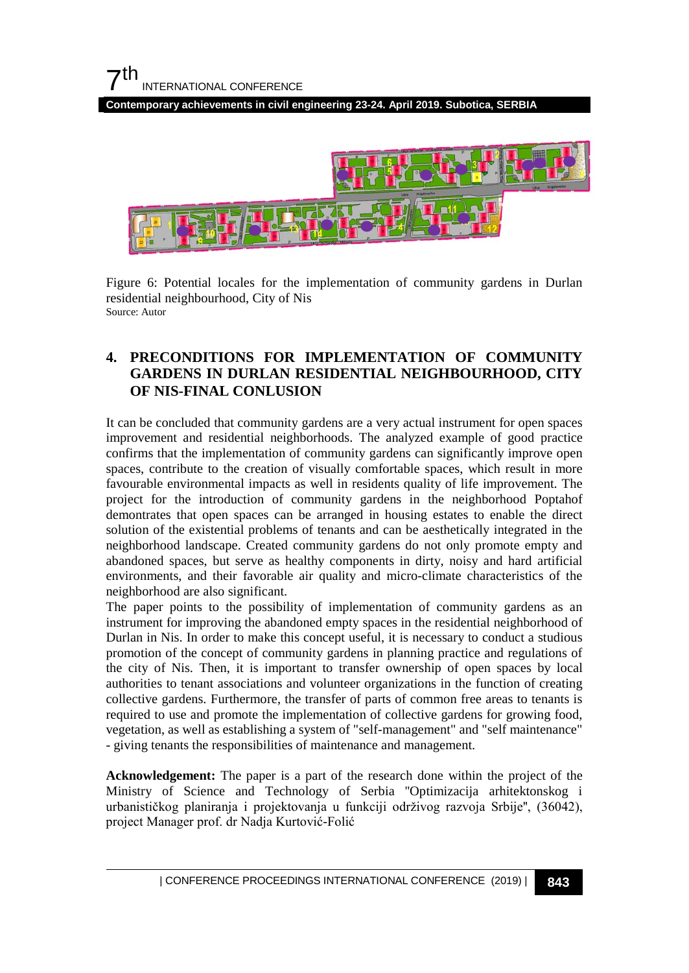**Contemporary achievements in civil engineering 23-24. April 2019. Subotica, SERBIA**



Figure 6: Potential locales for the implementation of community gardens in Durlan residential neighbourhood, City of Nis Source: Autor

### **4. PRECONDITIONS FOR IMPLEMENTATION OF COMMUNITY GARDENS IN DURLAN RESIDENTIAL NEIGHBOURHOOD, CITY OF NIS-FINAL CONLUSION**

It can be concluded that community gardens are a very actual instrument for open spaces improvement and residential neighborhoods. The analyzed example of good practice confirms that the implementation of community gardens can significantly improve open spaces, contribute to the creation of visually comfortable spaces, which result in more favourable environmental impacts as well in residents quality of life improvement. The project for the introduction of community gardens in the neighborhood Poptahof demontrates that open spaces can be arranged in housing estates to enable the direct solution of the existential problems of tenants and can be aesthetically integrated in the neighborhood landscape. Created community gardens do not only promote empty and abandoned spaces, but serve as healthy components in dirty, noisy and hard artificial environments, and their favorable air quality and micro-climate characteristics of the neighborhood are also significant.

The paper points to the possibility of implementation of community gardens as an instrument for improving the abandoned empty spaces in the residential neighborhood of Durlan in Nis. In order to make this concept useful, it is necessary to conduct a studious promotion of the concept of community gardens in planning practice and regulations of the city of Nis. Then, it is important to transfer ownership of open spaces by local authorities to tenant associations and volunteer organizations in the function of creating collective gardens. Furthermore, the transfer of parts of common free areas to tenants is required to use and promote the implementation of collective gardens for growing food, vegetation, as well as establishing a system of "self-management" and "self maintenance" - giving tenants the responsibilities of maintenance and management.

**Acknowledgement:** The paper is a part of the research done within the project of the Ministry of Science and Technology of Serbia ''Optimizacija arhitektonskog i urbanističkog planiranja i projektovanja u funkciji održivog razvoja Srbije'', (36042), project Manager prof. dr Nadja Kurtović-Folić